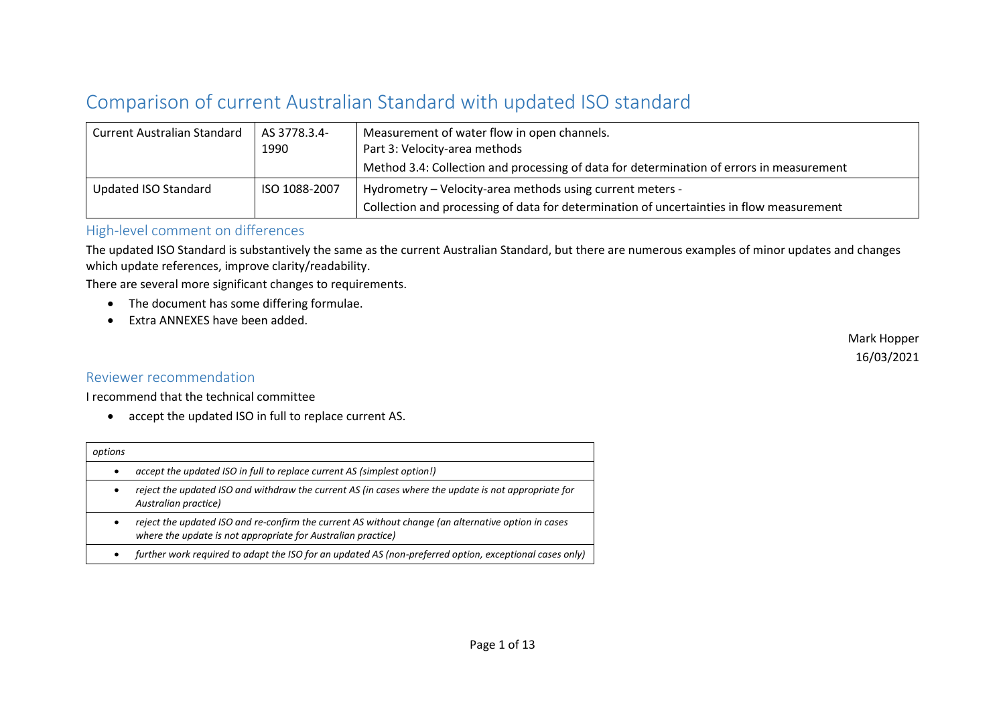## Comparison of current Australian Standard with updated ISO standard

| <b>Current Australian Standard</b> | AS 3778.3.4-<br>1990 | Measurement of water flow in open channels.<br>Part 3: Velocity-area methods<br>Method 3.4: Collection and processing of data for determination of errors in measurement |
|------------------------------------|----------------------|--------------------------------------------------------------------------------------------------------------------------------------------------------------------------|
| Updated ISO Standard               | ISO 1088-2007        | Hydrometry - Velocity-area methods using current meters -<br>Collection and processing of data for determination of uncertainties in flow measurement                    |

## High-level comment on differences

The updated ISO Standard is substantively the same as the current Australian Standard, but there are numerous examples of minor updates and changes which update references, improve clarity/readability.

There are several more significant changes to requirements.

- The document has some differing formulae.
- Extra ANNEXES have been added.

## Reviewer recommendation

I recommend that the technical committee

• accept the updated ISO in full to replace current AS.

| options   |                                                                                                                                                                     |
|-----------|---------------------------------------------------------------------------------------------------------------------------------------------------------------------|
| $\bullet$ | accept the updated ISO in full to replace current AS (simplest option!)                                                                                             |
| ٠         | reject the updated ISO and withdraw the current AS (in cases where the update is not appropriate for<br>Australian practice)                                        |
| ٠         | reject the updated ISO and re-confirm the current AS without change (an alternative option in cases<br>where the update is not appropriate for Australian practice) |
| $\bullet$ | further work required to adapt the ISO for an updated AS (non-preferred option, exceptional cases only)                                                             |
|           |                                                                                                                                                                     |

Mark Hopper 16/03/2021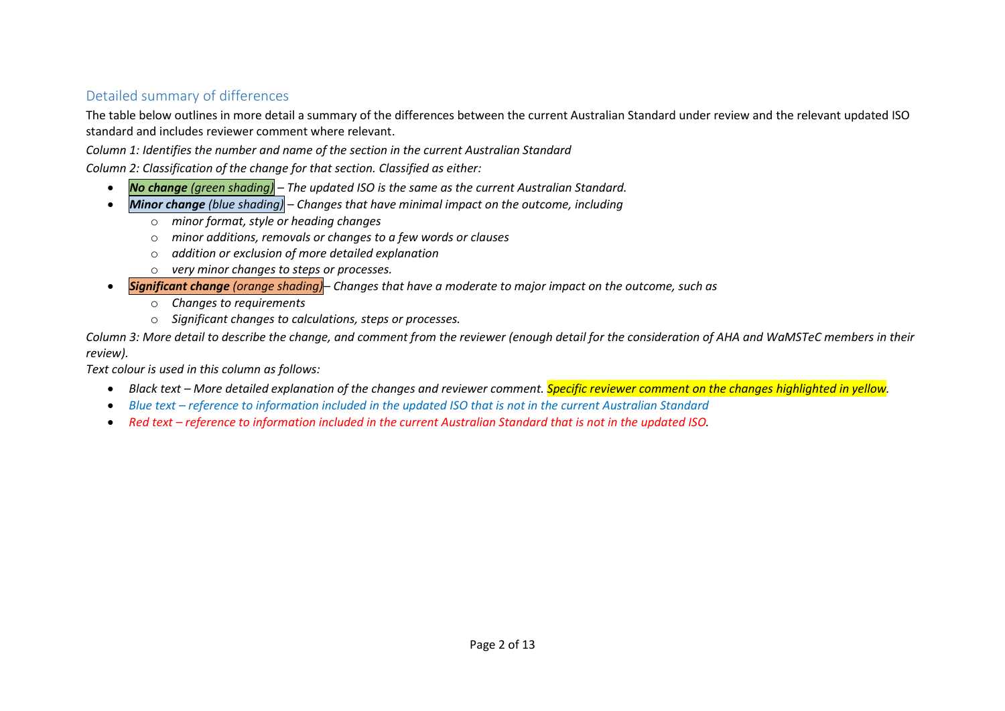## Detailed summary of differences

The table below outlines in more detail a summary of the differences between the current Australian Standard under review and the relevant updated ISO standard and includes reviewer comment where relevant.

*Column 1: Identifies the number and name of the section in the current Australian Standard*

*Column 2: Classification of the change for that section. Classified as either:*

- *No change (green shading) – The updated ISO is the same as the current Australian Standard.*
- *Minor change (blue shading) – Changes that have minimal impact on the outcome, including*
	- o *minor format, style or heading changes*
	- o *minor additions, removals or changes to a few words or clauses*
	- o *addition or exclusion of more detailed explanation*
	- o *very minor changes to steps or processes.*
- *Significant change (orange shading)– Changes that have a moderate to major impact on the outcome, such as*
	- o *Changes to requirements*
	- o *Significant changes to calculations, steps or processes.*

*Column 3: More detail to describe the change, and comment from the reviewer (enough detail for the consideration of AHA and WaMSTeC members in their review).*

*Text colour is used in this column as follows:*

- *Black text – More detailed explanation of the changes and reviewer comment. Specific reviewer comment on the changes highlighted in yellow.*
- *Blue text – reference to information included in the updated ISO that is not in the current Australian Standard*
- Red text *reference to information included in the current Australian Standard that is not in the updated ISO.*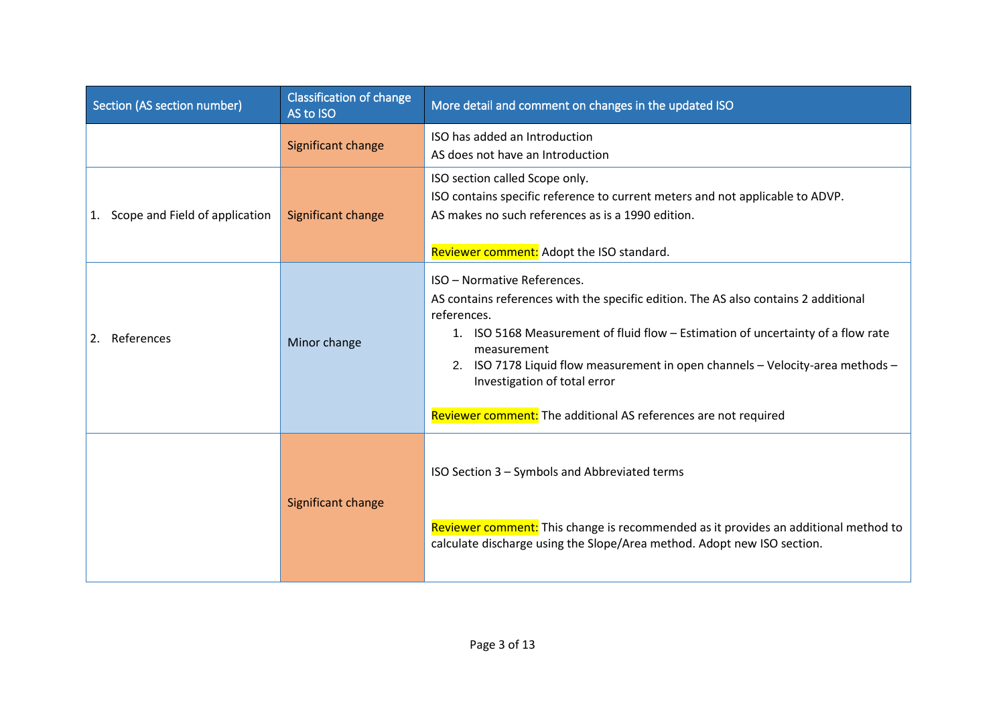| <b>Section (AS section number)</b> | <b>Classification of change</b><br>AS to ISO | More detail and comment on changes in the updated ISO                                                                                                                                                                                                                                                                                                                                                                     |
|------------------------------------|----------------------------------------------|---------------------------------------------------------------------------------------------------------------------------------------------------------------------------------------------------------------------------------------------------------------------------------------------------------------------------------------------------------------------------------------------------------------------------|
|                                    | Significant change                           | ISO has added an Introduction<br>AS does not have an Introduction                                                                                                                                                                                                                                                                                                                                                         |
| 1. Scope and Field of application  | Significant change                           | ISO section called Scope only.<br>ISO contains specific reference to current meters and not applicable to ADVP.<br>AS makes no such references as is a 1990 edition.<br>Reviewer comment: Adopt the ISO standard.                                                                                                                                                                                                         |
| References<br>2.                   | Minor change                                 | ISO - Normative References.<br>AS contains references with the specific edition. The AS also contains 2 additional<br>references.<br>1. ISO 5168 Measurement of fluid flow - Estimation of uncertainty of a flow rate<br>measurement<br>2. ISO 7178 Liquid flow measurement in open channels - Velocity-area methods -<br>Investigation of total error<br>Reviewer comment: The additional AS references are not required |
|                                    | Significant change                           | ISO Section 3 - Symbols and Abbreviated terms<br>Reviewer comment: This change is recommended as it provides an additional method to<br>calculate discharge using the Slope/Area method. Adopt new ISO section.                                                                                                                                                                                                           |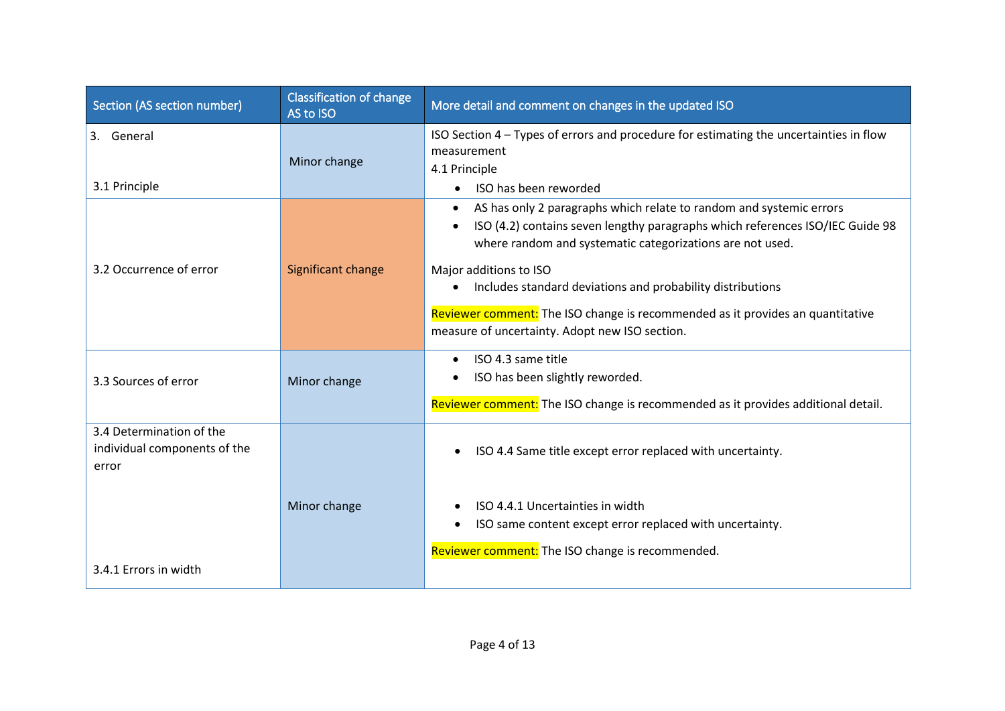| Section (AS section number)                                       | <b>Classification of change</b><br>AS to ISO | More detail and comment on changes in the updated ISO                                                                                                                                                                                                                                                                                                                                                                                                           |
|-------------------------------------------------------------------|----------------------------------------------|-----------------------------------------------------------------------------------------------------------------------------------------------------------------------------------------------------------------------------------------------------------------------------------------------------------------------------------------------------------------------------------------------------------------------------------------------------------------|
| 3. General<br>3.1 Principle                                       | Minor change                                 | ISO Section 4 - Types of errors and procedure for estimating the uncertainties in flow<br>measurement<br>4.1 Principle<br>ISO has been reworded                                                                                                                                                                                                                                                                                                                 |
| 3.2 Occurrence of error                                           | Significant change                           | AS has only 2 paragraphs which relate to random and systemic errors<br>٠<br>ISO (4.2) contains seven lengthy paragraphs which references ISO/IEC Guide 98<br>where random and systematic categorizations are not used.<br>Major additions to ISO<br>Includes standard deviations and probability distributions<br>$\bullet$<br>Reviewer comment: The ISO change is recommended as it provides an quantitative<br>measure of uncertainty. Adopt new ISO section. |
| 3.3 Sources of error                                              | Minor change                                 | ISO 4.3 same title<br>$\bullet$<br>ISO has been slightly reworded.<br>Reviewer comment: The ISO change is recommended as it provides additional detail.                                                                                                                                                                                                                                                                                                         |
| 3.4 Determination of the<br>individual components of the<br>error |                                              | ISO 4.4 Same title except error replaced with uncertainty.<br>$\bullet$                                                                                                                                                                                                                                                                                                                                                                                         |
| 3.4.1 Errors in width                                             | Minor change                                 | ISO 4.4.1 Uncertainties in width<br>ISO same content except error replaced with uncertainty.<br>Reviewer comment: The ISO change is recommended.                                                                                                                                                                                                                                                                                                                |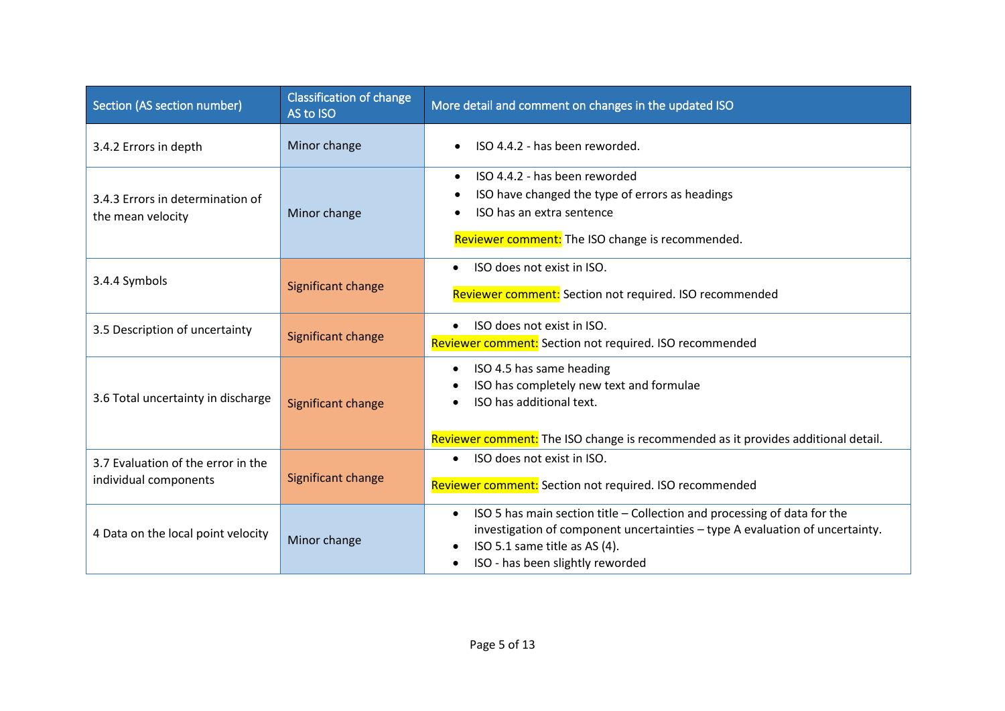| Section (AS section number)                                 | <b>Classification of change</b><br>AS to ISO | More detail and comment on changes in the updated ISO                                                                                                                                                                                                                |
|-------------------------------------------------------------|----------------------------------------------|----------------------------------------------------------------------------------------------------------------------------------------------------------------------------------------------------------------------------------------------------------------------|
| 3.4.2 Errors in depth                                       | Minor change                                 | ISO 4.4.2 - has been reworded.<br>$\bullet$                                                                                                                                                                                                                          |
| 3.4.3 Errors in determination of<br>the mean velocity       | Minor change                                 | ISO 4.4.2 - has been reworded<br>$\bullet$<br>ISO have changed the type of errors as headings<br>٠<br>ISO has an extra sentence<br>$\bullet$<br>Reviewer comment: The ISO change is recommended.                                                                     |
| 3.4.4 Symbols                                               | Significant change                           | ISO does not exist in ISO.<br>$\bullet$<br>Reviewer comment: Section not required. ISO recommended                                                                                                                                                                   |
| 3.5 Description of uncertainty                              | Significant change                           | ISO does not exist in ISO.<br>Reviewer comment: Section not required. ISO recommended                                                                                                                                                                                |
| 3.6 Total uncertainty in discharge                          | Significant change                           | ISO 4.5 has same heading<br>$\bullet$<br>ISO has completely new text and formulae<br>ISO has additional text.<br>$\bullet$<br>Reviewer comment: The ISO change is recommended as it provides additional detail.                                                      |
| 3.7 Evaluation of the error in the<br>individual components | Significant change                           | ISO does not exist in ISO.<br>$\bullet$<br>Reviewer comment: Section not required. ISO recommended                                                                                                                                                                   |
| 4 Data on the local point velocity                          | Minor change                                 | ISO 5 has main section title - Collection and processing of data for the<br>$\bullet$<br>investigation of component uncertainties - type A evaluation of uncertainty.<br>ISO 5.1 same title as AS (4).<br>$\bullet$<br>ISO - has been slightly reworded<br>$\bullet$ |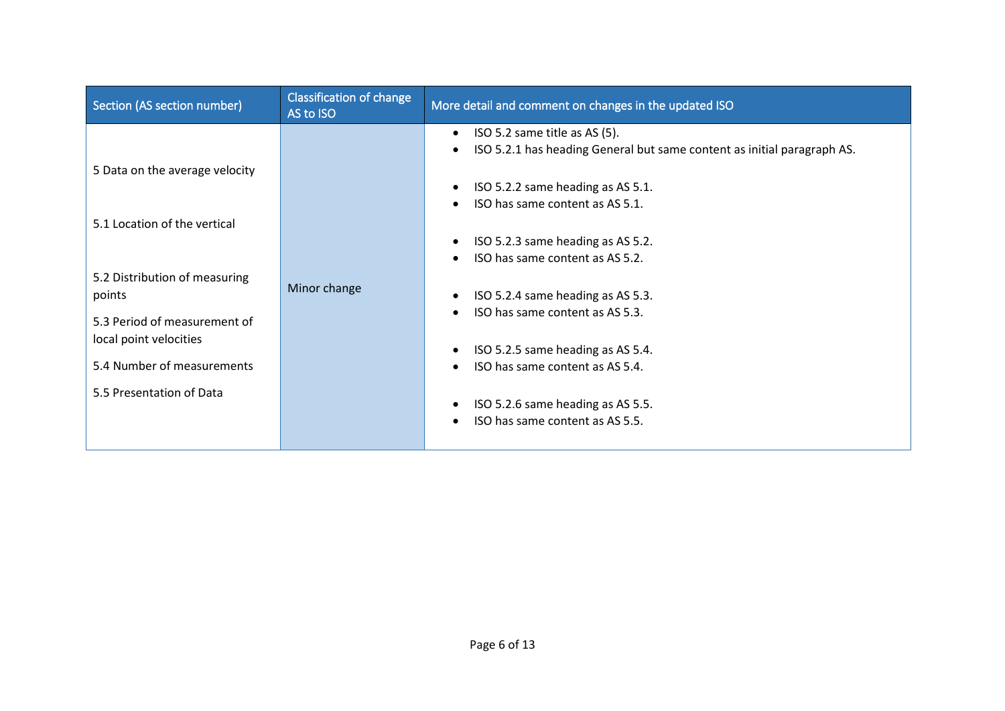| Section (AS section number)    | Classification of change<br>AS to ISO | More detail and comment on changes in the updated ISO                                |
|--------------------------------|---------------------------------------|--------------------------------------------------------------------------------------|
|                                |                                       | ISO 5.2 same title as AS (5).<br>$\bullet$                                           |
|                                |                                       | ISO 5.2.1 has heading General but same content as initial paragraph AS.<br>$\bullet$ |
| 5 Data on the average velocity |                                       |                                                                                      |
|                                |                                       | ISO 5.2.2 same heading as AS 5.1.<br>٠                                               |
|                                |                                       | ISO has same content as AS 5.1.<br>$\bullet$                                         |
| 5.1 Location of the vertical   |                                       |                                                                                      |
|                                |                                       | ISO 5.2.3 same heading as AS 5.2.<br>٠                                               |
|                                |                                       | ISO has same content as AS 5.2.                                                      |
| 5.2 Distribution of measuring  |                                       |                                                                                      |
| points                         | Minor change                          | ISO 5.2.4 same heading as AS 5.3.<br>٠                                               |
| 5.3 Period of measurement of   |                                       | ISO has same content as AS 5.3.<br>$\bullet$                                         |
| local point velocities         |                                       |                                                                                      |
|                                |                                       | ISO 5.2.5 same heading as AS 5.4.                                                    |
| 5.4 Number of measurements     |                                       | ISO has same content as AS 5.4.                                                      |
| 5.5 Presentation of Data       |                                       |                                                                                      |
|                                |                                       | ISO 5.2.6 same heading as AS 5.5.                                                    |
|                                |                                       | ISO has same content as AS 5.5.<br>$\bullet$                                         |
|                                |                                       |                                                                                      |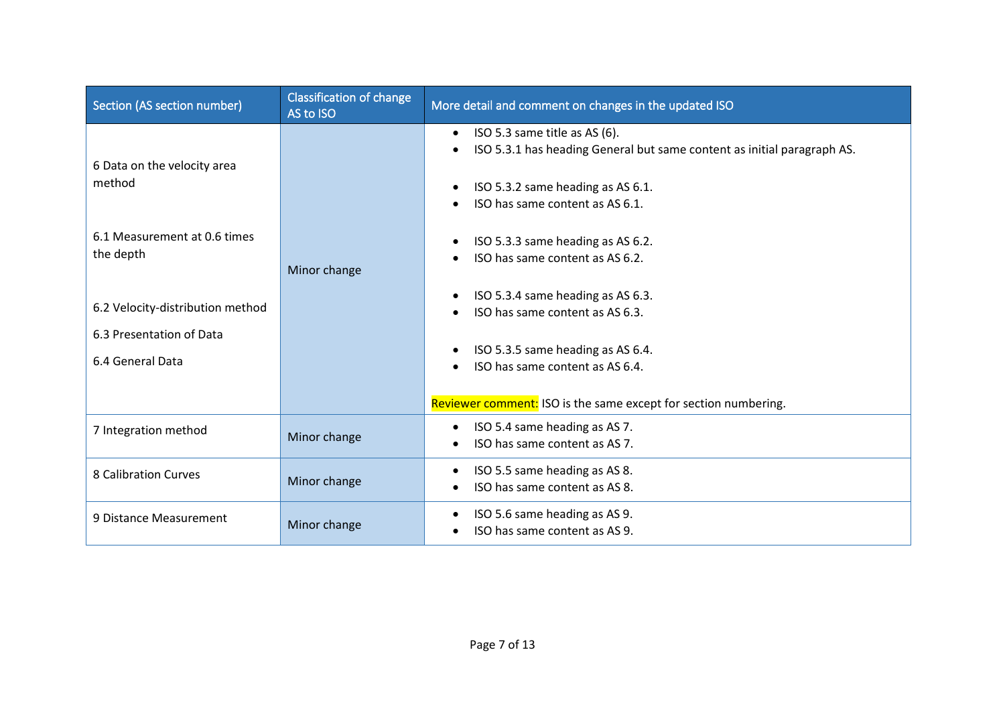| Section (AS section number)                                                      | <b>Classification of change</b><br>AS to ISO | More detail and comment on changes in the updated ISO                                                                                                                                                                   |
|----------------------------------------------------------------------------------|----------------------------------------------|-------------------------------------------------------------------------------------------------------------------------------------------------------------------------------------------------------------------------|
| 6 Data on the velocity area<br>method                                            |                                              | ISO 5.3 same title as AS (6).<br>$\bullet$<br>ISO 5.3.1 has heading General but same content as initial paragraph AS.<br>$\bullet$<br>ISO 5.3.2 same heading as AS 6.1.<br>$\bullet$<br>ISO has same content as AS 6.1. |
| 6.1 Measurement at 0.6 times<br>the depth                                        | Minor change                                 | ISO 5.3.3 same heading as AS 6.2.<br>$\bullet$<br>ISO has same content as AS 6.2.                                                                                                                                       |
| 6.2 Velocity-distribution method<br>6.3 Presentation of Data<br>6.4 General Data |                                              | ISO 5.3.4 same heading as AS 6.3.<br>$\bullet$<br>ISO has same content as AS 6.3.<br>ISO 5.3.5 same heading as AS 6.4.<br>ISO has same content as AS 6.4.                                                               |
|                                                                                  |                                              | Reviewer comment: ISO is the same except for section numbering.                                                                                                                                                         |
| 7 Integration method                                                             | Minor change                                 | ISO 5.4 same heading as AS 7.<br>$\bullet$<br>ISO has same content as AS 7.<br>$\bullet$                                                                                                                                |
| 8 Calibration Curves                                                             | Minor change                                 | ISO 5.5 same heading as AS 8.<br>$\bullet$<br>ISO has same content as AS 8.<br>$\bullet$                                                                                                                                |
| 9 Distance Measurement                                                           | Minor change                                 | ISO 5.6 same heading as AS 9.<br>ISO has same content as AS 9.<br>$\bullet$                                                                                                                                             |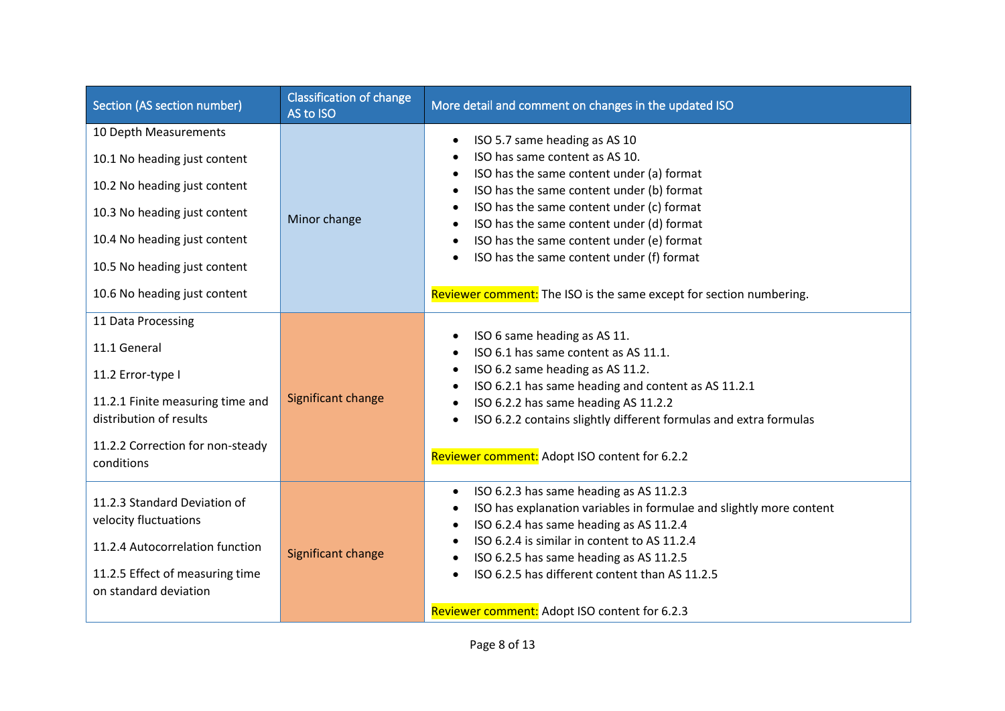| Section (AS section number)                                 | <b>Classification of change</b><br>AS to ISO | More detail and comment on changes in the updated ISO                                                            |
|-------------------------------------------------------------|----------------------------------------------|------------------------------------------------------------------------------------------------------------------|
| 10 Depth Measurements                                       |                                              | ISO 5.7 same heading as AS 10<br>$\bullet$                                                                       |
| 10.1 No heading just content                                |                                              | ISO has same content as AS 10.                                                                                   |
| 10.2 No heading just content                                |                                              | ISO has the same content under (a) format<br>$\bullet$<br>ISO has the same content under (b) format<br>$\bullet$ |
| 10.3 No heading just content                                | Minor change                                 | ISO has the same content under (c) format<br>$\bullet$<br>ISO has the same content under (d) format<br>$\bullet$ |
| 10.4 No heading just content                                |                                              | ISO has the same content under (e) format<br>$\bullet$                                                           |
| 10.5 No heading just content                                |                                              | ISO has the same content under (f) format                                                                        |
| 10.6 No heading just content                                |                                              | Reviewer comment: The ISO is the same except for section numbering.                                              |
| 11 Data Processing                                          |                                              |                                                                                                                  |
| 11.1 General                                                |                                              | ISO 6 same heading as AS 11.<br>$\bullet$<br>ISO 6.1 has same content as AS 11.1.                                |
| 11.2 Error-type I                                           |                                              | ISO 6.2 same heading as AS 11.2.<br>٠                                                                            |
|                                                             | Significant change                           | ISO 6.2.1 has same heading and content as AS 11.2.1<br>$\bullet$                                                 |
| 11.2.1 Finite measuring time and<br>distribution of results |                                              | ISO 6.2.2 has same heading AS 11.2.2<br>$\bullet$                                                                |
|                                                             |                                              | ISO 6.2.2 contains slightly different formulas and extra formulas<br>$\bullet$                                   |
| 11.2.2 Correction for non-steady<br>conditions              |                                              | Reviewer comment: Adopt ISO content for 6.2.2                                                                    |
|                                                             |                                              | ISO 6.2.3 has same heading as AS 11.2.3<br>$\bullet$                                                             |
| 11.2.3 Standard Deviation of                                |                                              | ISO has explanation variables in formulae and slightly more content<br>٠                                         |
| velocity fluctuations                                       |                                              | ISO 6.2.4 has same heading as AS 11.2.4<br>$\bullet$                                                             |
| 11.2.4 Autocorrelation function                             | Significant change                           | ISO 6.2.4 is similar in content to AS 11.2.4                                                                     |
| 11.2.5 Effect of measuring time                             |                                              | ISO 6.2.5 has same heading as AS 11.2.5<br>ISO 6.2.5 has different content than AS 11.2.5                        |
| on standard deviation                                       |                                              |                                                                                                                  |
|                                                             |                                              | Reviewer comment: Adopt ISO content for 6.2.3                                                                    |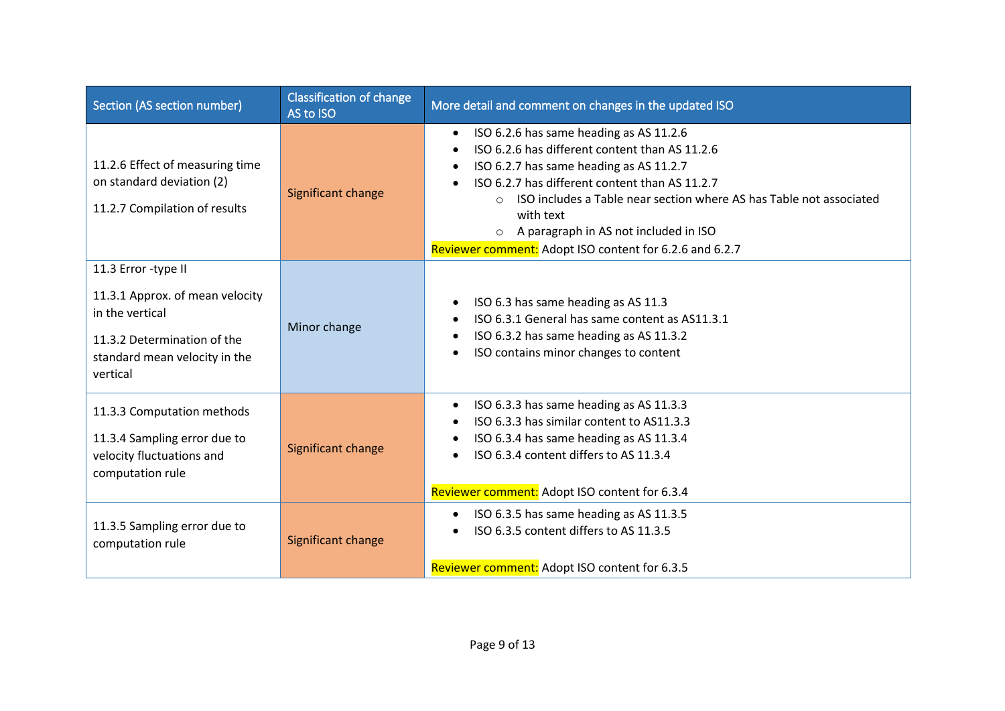| Section (AS section number)                                                                                                                           | <b>Classification of change</b><br>AS to ISO | More detail and comment on changes in the updated ISO                                                                                                                                                                                                                                                                                                                                                         |
|-------------------------------------------------------------------------------------------------------------------------------------------------------|----------------------------------------------|---------------------------------------------------------------------------------------------------------------------------------------------------------------------------------------------------------------------------------------------------------------------------------------------------------------------------------------------------------------------------------------------------------------|
| 11.2.6 Effect of measuring time<br>on standard deviation (2)<br>11.2.7 Compilation of results                                                         | Significant change                           | ISO 6.2.6 has same heading as AS 11.2.6<br>$\bullet$<br>ISO 6.2.6 has different content than AS 11.2.6<br>$\bullet$<br>ISO 6.2.7 has same heading as AS 11.2.7<br>٠<br>ISO 6.2.7 has different content than AS 11.2.7<br>ISO includes a Table near section where AS has Table not associated<br>with text<br>A paragraph in AS not included in ISO<br>Reviewer comment: Adopt ISO content for 6.2.6 and 6.2.7 |
| 11.3 Error -type II<br>11.3.1 Approx. of mean velocity<br>in the vertical<br>11.3.2 Determination of the<br>standard mean velocity in the<br>vertical | Minor change                                 | ISO 6.3 has same heading as AS 11.3<br>$\bullet$<br>ISO 6.3.1 General has same content as AS11.3.1<br>ISO 6.3.2 has same heading as AS 11.3.2<br>$\bullet$<br>ISO contains minor changes to content<br>$\bullet$                                                                                                                                                                                              |
| 11.3.3 Computation methods<br>11.3.4 Sampling error due to<br>velocity fluctuations and<br>computation rule                                           | Significant change                           | ISO 6.3.3 has same heading as AS 11.3.3<br>$\bullet$<br>ISO 6.3.3 has similar content to AS11.3.3<br>ISO 6.3.4 has same heading as AS 11.3.4<br>٠<br>ISO 6.3.4 content differs to AS 11.3.4<br>$\bullet$<br>Reviewer comment: Adopt ISO content for 6.3.4                                                                                                                                                     |
| 11.3.5 Sampling error due to<br>computation rule                                                                                                      | Significant change                           | ISO 6.3.5 has same heading as AS 11.3.5<br>$\bullet$<br>ISO 6.3.5 content differs to AS 11.3.5<br>$\bullet$<br>Reviewer comment: Adopt ISO content for 6.3.5                                                                                                                                                                                                                                                  |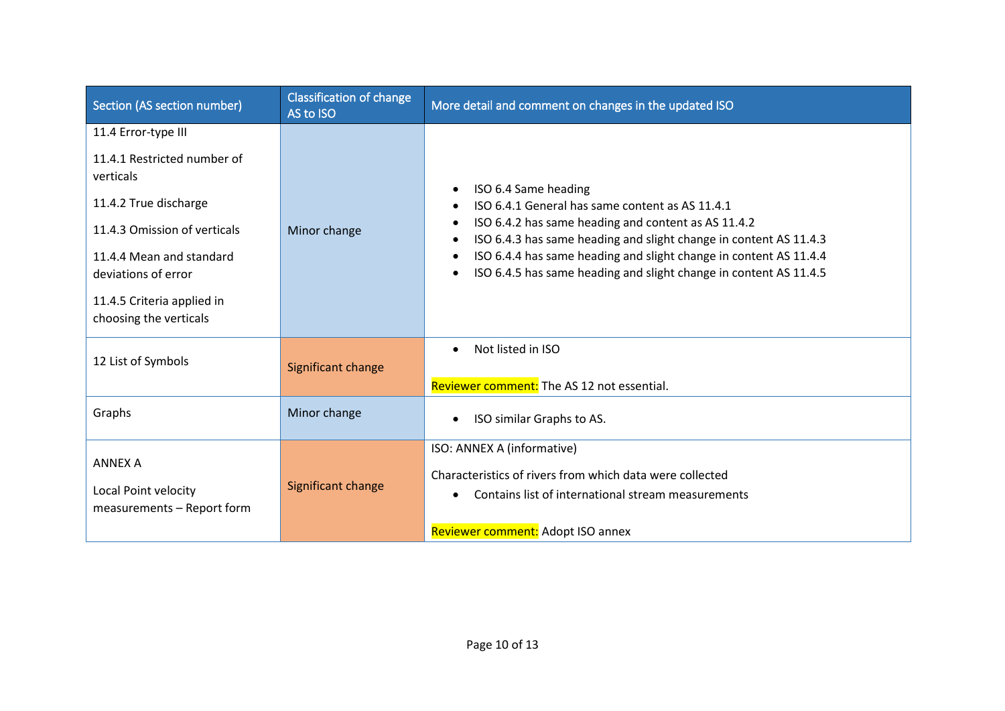| Section (AS section number)                                                                                                                                                                                                         | <b>Classification of change</b><br>AS to ISO | More detail and comment on changes in the updated ISO                                                                                                                                                                                                                                                                                                                                                               |
|-------------------------------------------------------------------------------------------------------------------------------------------------------------------------------------------------------------------------------------|----------------------------------------------|---------------------------------------------------------------------------------------------------------------------------------------------------------------------------------------------------------------------------------------------------------------------------------------------------------------------------------------------------------------------------------------------------------------------|
| 11.4 Error-type III<br>11.4.1 Restricted number of<br>verticals<br>11.4.2 True discharge<br>11.4.3 Omission of verticals<br>11.4.4 Mean and standard<br>deviations of error<br>11.4.5 Criteria applied in<br>choosing the verticals | Minor change                                 | ISO 6.4 Same heading<br>$\bullet$<br>ISO 6.4.1 General has same content as AS 11.4.1<br>$\bullet$<br>ISO 6.4.2 has same heading and content as AS 11.4.2<br>٠<br>ISO 6.4.3 has same heading and slight change in content AS 11.4.3<br>$\bullet$<br>ISO 6.4.4 has same heading and slight change in content AS 11.4.4<br>$\bullet$<br>ISO 6.4.5 has same heading and slight change in content AS 11.4.5<br>$\bullet$ |
| 12 List of Symbols                                                                                                                                                                                                                  | Significant change                           | Not listed in ISO<br>$\bullet$<br>Reviewer comment: The AS 12 not essential.                                                                                                                                                                                                                                                                                                                                        |
| Graphs                                                                                                                                                                                                                              | Minor change                                 | ISO similar Graphs to AS.<br>$\bullet$                                                                                                                                                                                                                                                                                                                                                                              |
| <b>ANNEX A</b><br>Local Point velocity<br>measurements - Report form                                                                                                                                                                | Significant change                           | ISO: ANNEX A (informative)<br>Characteristics of rivers from which data were collected<br>Contains list of international stream measurements<br>Reviewer comment: Adopt ISO annex                                                                                                                                                                                                                                   |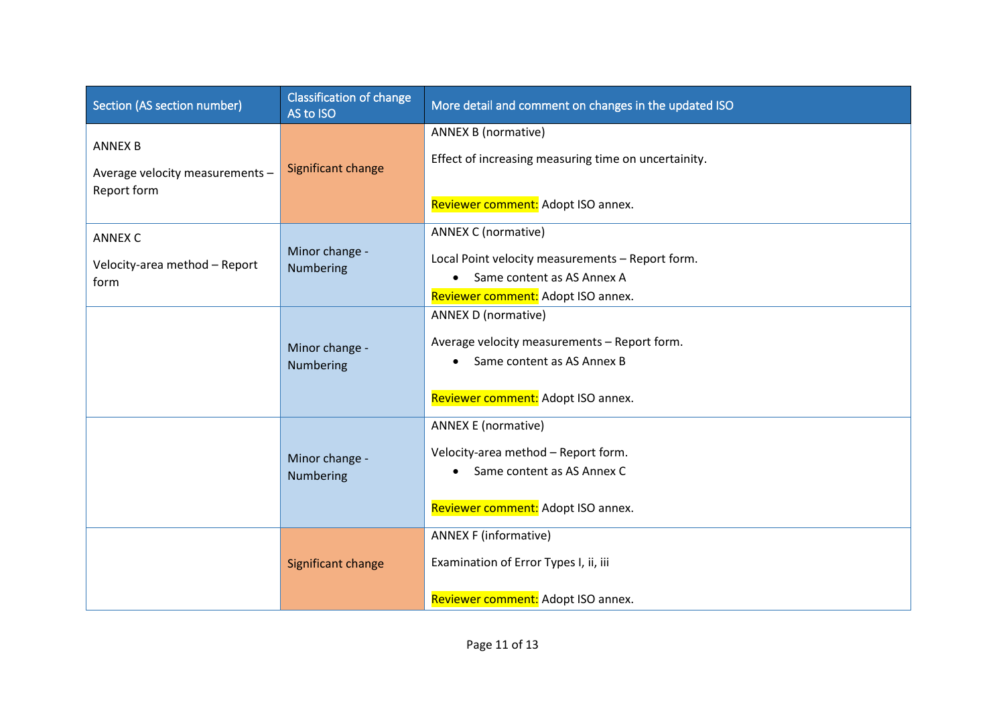| Section (AS section number)                    | <b>Classification of change</b><br>AS to ISO | More detail and comment on changes in the updated ISO                              |
|------------------------------------------------|----------------------------------------------|------------------------------------------------------------------------------------|
| <b>ANNEX B</b>                                 |                                              | <b>ANNEX B (normative)</b><br>Effect of increasing measuring time on uncertainity. |
| Average velocity measurements -<br>Report form | Significant change                           |                                                                                    |
|                                                |                                              | Reviewer comment: Adopt ISO annex.                                                 |
| <b>ANNEX C</b>                                 | Minor change -                               | <b>ANNEX C (normative)</b>                                                         |
| Velocity-area method - Report                  | Numbering                                    | Local Point velocity measurements - Report form.                                   |
| form                                           |                                              | Same content as AS Annex A<br>$\bullet$                                            |
|                                                |                                              | Reviewer comment: Adopt ISO annex.                                                 |
|                                                |                                              | <b>ANNEX D (normative)</b>                                                         |
|                                                | Minor change -                               | Average velocity measurements - Report form.                                       |
|                                                | Numbering                                    | Same content as AS Annex B                                                         |
|                                                |                                              | Reviewer comment: Adopt ISO annex.                                                 |
|                                                |                                              | <b>ANNEX E (normative)</b>                                                         |
|                                                | Minor change -                               | Velocity-area method - Report form.                                                |
|                                                | Numbering                                    | Same content as AS Annex C                                                         |
|                                                |                                              | Reviewer comment: Adopt ISO annex.                                                 |
|                                                |                                              | <b>ANNEX F (informative)</b>                                                       |
|                                                | Significant change                           | Examination of Error Types I, ii, iii                                              |
|                                                |                                              | Reviewer comment: Adopt ISO annex.                                                 |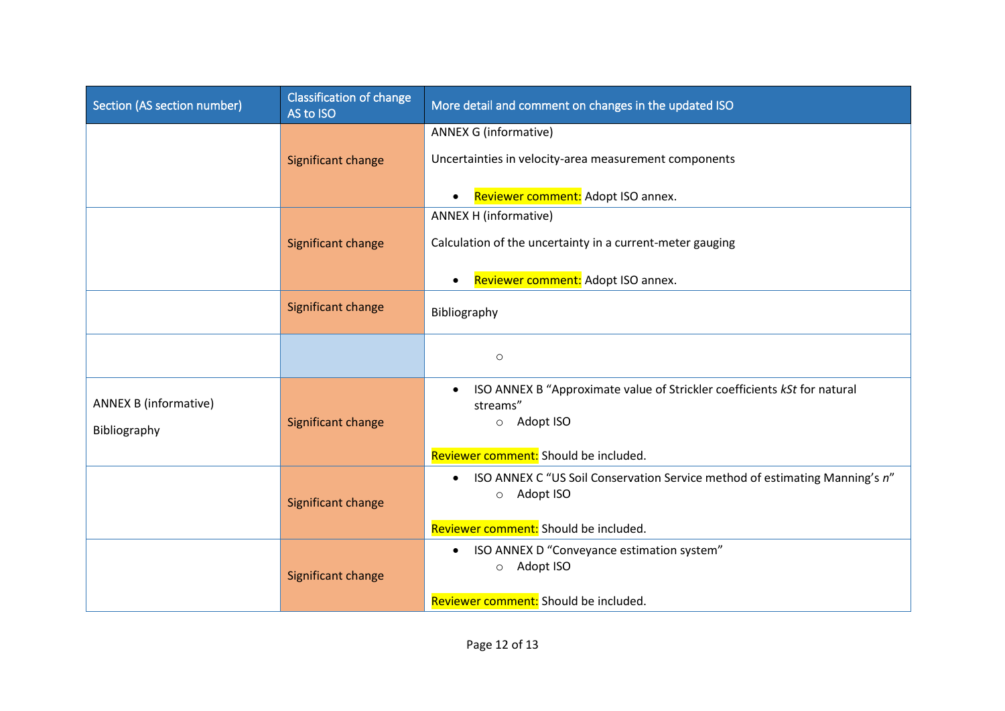| Section (AS section number)  | <b>Classification of change</b><br>AS to ISO | More detail and comment on changes in the updated ISO                                                   |
|------------------------------|----------------------------------------------|---------------------------------------------------------------------------------------------------------|
|                              |                                              | <b>ANNEX G (informative)</b>                                                                            |
|                              | Significant change                           | Uncertainties in velocity-area measurement components                                                   |
|                              |                                              | Reviewer comment: Adopt ISO annex.<br>$\bullet$                                                         |
|                              |                                              | ANNEX H (informative)                                                                                   |
|                              | Significant change                           | Calculation of the uncertainty in a current-meter gauging                                               |
|                              |                                              | Reviewer comment: Adopt ISO annex.<br>$\bullet$                                                         |
|                              | Significant change                           | Bibliography                                                                                            |
|                              |                                              | $\circ$                                                                                                 |
| <b>ANNEX B (informative)</b> |                                              | ISO ANNEX B "Approximate value of Strickler coefficients kSt for natural<br>$\bullet$                   |
|                              | Significant change                           | streams"<br>o Adopt ISO                                                                                 |
| Bibliography                 |                                              | Reviewer comment: Should be included.                                                                   |
|                              | Significant change                           | ISO ANNEX C "US Soil Conservation Service method of estimating Manning's n"<br>$\bullet$<br>o Adopt ISO |
|                              |                                              | Reviewer comment: Should be included.                                                                   |
|                              | Significant change                           | ISO ANNEX D "Conveyance estimation system"<br>$\bullet$<br>o Adopt ISO                                  |
|                              |                                              | Reviewer comment: Should be included.                                                                   |